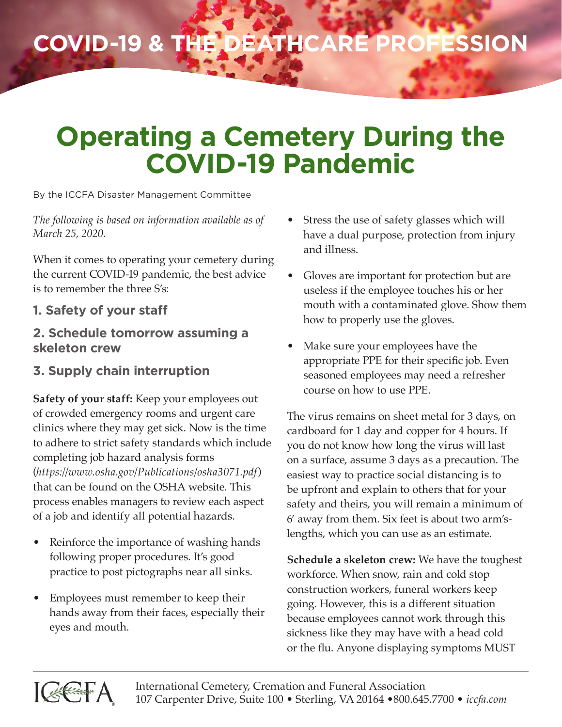## **COVID-19 & the Deathcare Profession**

## **Operating a Cemetery During the COVID-19 Pandemic**

By the ICCFA Disaster Management Committee

*The following is based on information available as of March 25, 2020.*

When it comes to operating your cemetery during the current COVID-19 pandemic, the best advice is to remember the three S's:

## **1. Safety of your staff**

## **2. Schedule tomorrow assuming a skeleton crew**

**3. Supply chain interruption**

**Safety of your staff:** Keep your employees out of crowded emergency rooms and urgent care clinics where they may get sick. Now is the time to adhere to strict safety standards which include completing job hazard analysis forms (*https://www.osha.gov/Publications/osha3071.pdf*) that can be found on the OSHA website. This process enables managers to review each aspect of a job and identify all potential hazards.

- Reinforce the importance of washing hands following proper procedures. It's good practice to post pictographs near all sinks.
- Employees must remember to keep their hands away from their faces, especially their eyes and mouth.
- Stress the use of safety glasses which will have a dual purpose, protection from injury and illness.
- Gloves are important for protection but are useless if the employee touches his or her mouth with a contaminated glove. Show them how to properly use the gloves.
- Make sure your employees have the appropriate PPE for their specific job. Even seasoned employees may need a refresher course on how to use PPE.

The virus remains on sheet metal for 3 days, on cardboard for 1 day and copper for 4 hours. If you do not know how long the virus will last on a surface, assume 3 days as a precaution. The easiest way to practice social distancing is to be upfront and explain to others that for your safety and theirs, you will remain a minimum of 6' away from them. Six feet is about two arm'slengths, which you can use as an estimate.

**Schedule a skeleton crew:** We have the toughest workforce. When snow, rain and cold stop construction workers, funeral workers keep going. However, this is a different situation because employees cannot work through this sickness like they may have with a head cold or the flu. Anyone displaying symptoms MUST